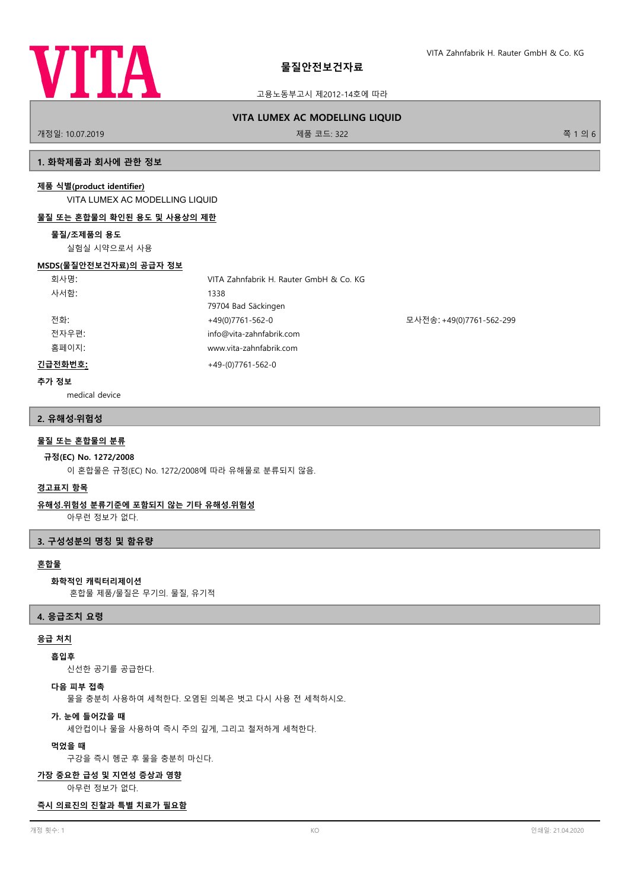

고용노동부고시 제2012-14호에 따라

# **VITA LUMEX AC MODELLING LIQUID**

개정일: 10.07.2019 제품 코드: 322 쪽 1 의 6

## **1. 화학제품과 회사에 관한 정보**

#### **제품 식별(product identifier)**

VITA LUMEX AC MODELLING LIQUID

#### **물질 또는 혼합물의 확인된 용도 및 사용상의 제한**

#### **물질/조제품의 용도**

실험실 시약으로서 사용

#### **MSDS(물질안전보건자료)의 공급자 정보**

| 회사명:    | VITA Zahnfabrik H. Rauter GmbH & Co. KG |                          |
|---------|-----------------------------------------|--------------------------|
| 사서함:    | 1338                                    |                          |
|         | 79704 Bad Säckingen                     |                          |
| 전화:     | +49(0)7761-562-0                        | 모사전송: +49(0)7761-562-299 |
| 전자우편:   | info@vita-zahnfabrik.com                |                          |
| 홈페이지:   | www.vita-zahnfabrik.com                 |                          |
| 긴급전화번호: | $+49-(0)7761-562-0$                     |                          |

## **추가 정보**

medical device

### **2. 유해성·위험성**

# **물질 또는 혼합물의 분류**

#### **규정(EC) No. 1272/2008**

이 혼합물은 규정(EC) No. 1272/2008에 따라 유해물로 분류되지 않음.

## **경고표지 항목**

# **유해성.위험성 분류기준에 포함되지 않는 기타 유해성.위험성**

아무런 정보가 없다.

## **3. 구성성분의 명칭 및 함유량**

## **혼합물**

## **화학적인 캐릭터리제이션**

혼합물 제품/물질은 무기의. 물질, 유기적

#### **4. 응급조치 요령**

# **응급 처치**

# **흡입후**

신선한 공기를 공급한다.

# **다음 피부 접촉**

물을 충분히 사용하여 세척한다. 오염된 의복은 벗고 다시 사용 전 세척하시오.

#### **가. 눈에 들어갔을 때**

세안컵이나 물을 사용하여 즉시 주의 깊게, 그리고 철저하게 세척한다.

#### **먹었을 때**

구강을 즉시 헹군 후 물을 충분히 마신다.

### **가장 중요한 급성 및 지연성 증상과 영향**

아무런 정보가 없다.

#### **즉시 의료진의 진찰과 특별 치료가 필요함**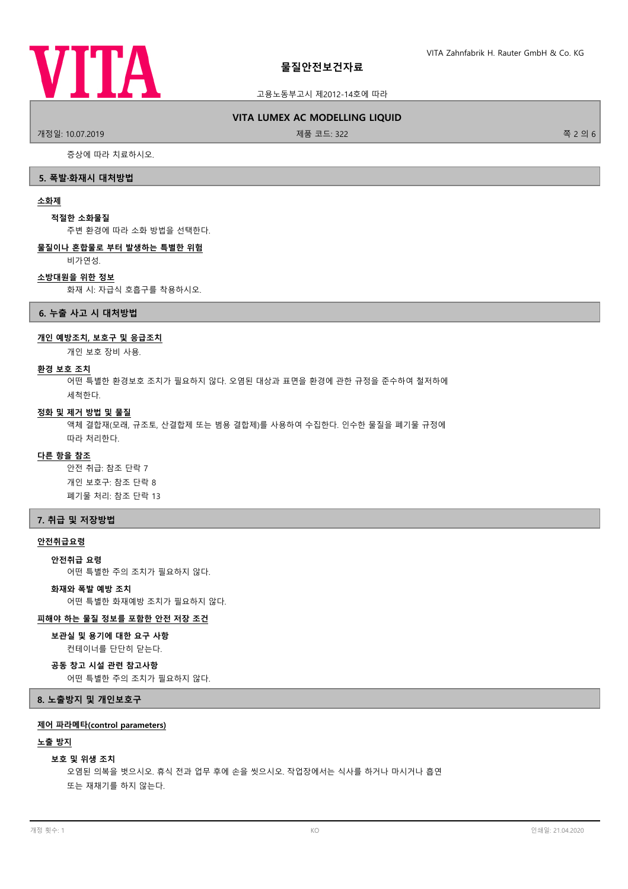

#### 고용노동부고시 제2012-14호에 따라

#### **VITA LUMEX AC MODELLING LIQUID**

.<br>개정일: 10.07.2019 제품 코드: 322 쪽 2 의 6

증상에 따라 치료하시오.

# **5. 폭발·화재시 대처방법**

# **소화제**

## **적절한 소화물질**

주변 환경에 따라 소화 방법을 선택한다.

# **물질이나 혼합물로 부터 발생하는 특별한 위험**

비가연성.

# **소방대원을 위한 정보**

화재 시: 자급식 호흡구를 착용하시오.

**6. 누출 사고 시 대처방법**

# **개인 예방조치, 보호구 및 응급조치**

개인 보호 장비 사용.

#### **환경 보호 조치**

어떤 특별한 환경보호 조치가 필요하지 않다. 오염된 대상과 표면을 환경에 관한 규정을 준수하여 철저하에 세척한다.

## **정화 및 제거 방법 및 물질**

액체 결합재(모래, 규조토, 산결합제 또는 범용 결합제)를 사용하여 수집한다. 인수한 물질을 폐기물 규정에 따라 처리한다.

# **다른 항을 참조**

안전 취급: 참조 단락 7 개인 보호구: 참조 단락 8 폐기물 처리: 참조 단락 13

## **7. 취급 및 저장방법**

### **안전취급요령**

#### **안전취급 요령**

어떤 특별한 주의 조치가 필요하지 않다.

# **화재와 폭발 예방 조치**

어떤 특별한 화재예방 조치가 필요하지 않다.

#### **피해야 하는 물질 정보를 포함한 안전 저장 조건**

## **보관실 및 용기에 대한 요구 사항**

컨테이너를 단단히 닫는다.

**공동 창고 시설 관련 참고사항**

어떤 특별한 주의 조치가 필요하지 않다.

## **8. 노출방지 및 개인보호구**

## **제어 파라메타(control parameters)**

#### **노출 방지**

#### **보호 및 위생 조치**

오염된 의복을 벗으시오. 휴식 전과 업무 후에 손을 씻으시오. 작업장에서는 식사를 하거나 마시거나 흡연 또는 재채기를 하지 않는다.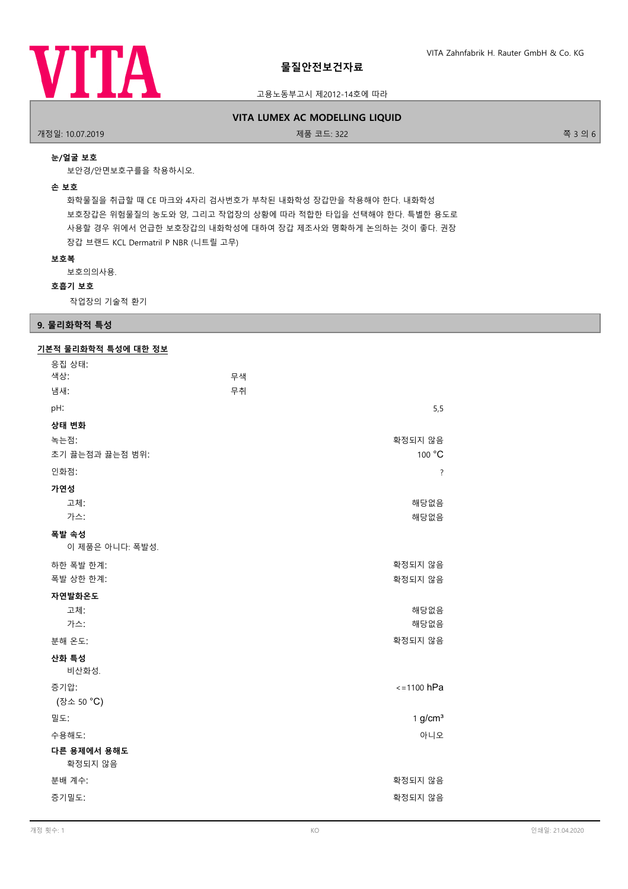

## 고용노동부고시 제2012-14호에 따라

### **VITA LUMEX AC MODELLING LIQUID**

개정일: 10.07.2019 제품 코드: 322 쪽 3 의 6

### **눈/얼굴 보호**

보안경/안면보호구를을 착용하시오.

#### **손 보호**

화학물질을 취급할 때 CE 마크와 4자리 검사번호가 부착된 내화학성 장갑만을 착용해야 한다. 내화학성 보호장갑은 위험물질의 농도와 양, 그리고 작업장의 상황에 따라 적합한 타입을 선택해야 한다. 특별한 용도로 사용할 경우 위에서 언급한 보호장갑의 내화학성에 대하여 장갑 제조사와 명확하게 논의하는 것이 좋다. 권장 장갑 브랜드 KCL Dermatril P NBR (니트릴 고무)

#### **보호복**

보호의의사용.

## **호흡기 보호**

작업장의 기술적 환기

# **9. 물리화학적 특성**

# **기본적 물리화학적 특성에 대한 정보**

| 응집 상태:          |                     |
|-----------------|---------------------|
| 색상:             | 무색                  |
| 냄새:             | 무취                  |
| pH:             | 5,5                 |
| 상태 변화           |                     |
| 녹는점:            | 확정되지 않음             |
| 초기 끓는점과 끓는점 범위: | 100 °C              |
| 인화점:            | ?                   |
| 가연성             |                     |
| 고체:             | 해당없음                |
| 가스:             | 해당없음                |
| 폭발 속성           |                     |
| 이 제품은 아니다: 폭발성. |                     |
| 하한 폭발 한계:       | 확정되지 않음             |
| 폭발 상한 한계:       | 확정되지 않음             |
| 자연발화온도          |                     |
| 고체:             | 해당없음                |
| 가스:             | 해당없음                |
| 분해 온도:          | 확정되지 않음             |
| 산화 특성           |                     |
| 비산화성.           |                     |
| 증기압:            | $\le$ = 1100 hPa    |
| (장소 50 °C)      |                     |
| 밀도:             | 1 g/cm <sup>3</sup> |
| 수용해도:           | 아니오                 |
| 다른 용제에서 용해도     |                     |
| 확정되지 않음         |                     |
| 분배 계수:          | 확정되지 않음             |
| 증기밀도:           | 확정되지 않음             |
|                 |                     |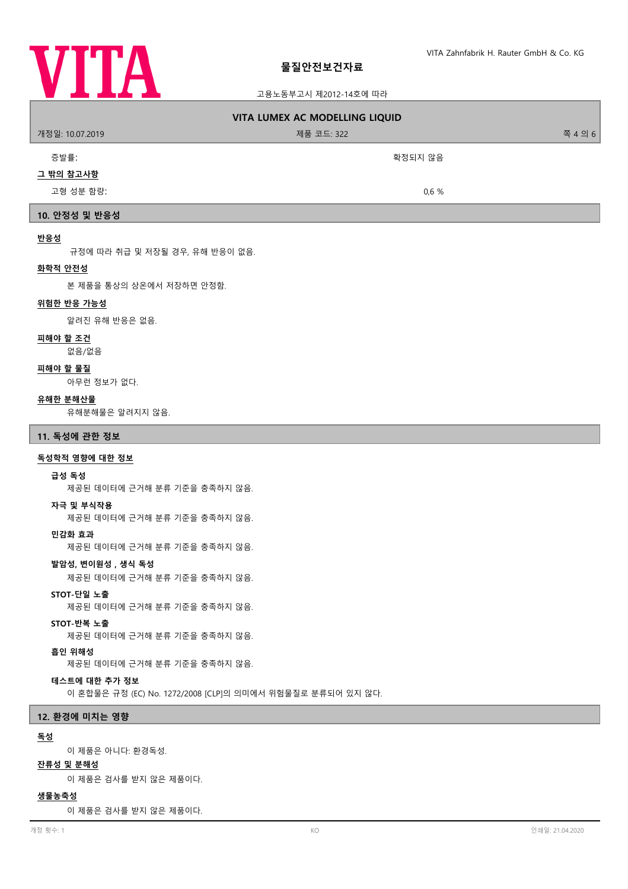

| 고용노동부고시 제2012-14호에 따라                                                       |  |  |  |
|-----------------------------------------------------------------------------|--|--|--|
| <b>VITA LUMEX AC MODELLING LIQUID</b>                                       |  |  |  |
| 개정일: 10.07.2019<br>제품 코드: 322<br>쪽 4 의 6                                    |  |  |  |
| 증발률:<br>확정되지 않음                                                             |  |  |  |
| 그 밖의 참고사항                                                                   |  |  |  |
| 고형 성분 함량:<br>0,6%                                                           |  |  |  |
| 10. 안정성 및 반응성                                                               |  |  |  |
| 반응성                                                                         |  |  |  |
| 규정에 따라 취급 및 저장될 경우, 유해 반응이 없음.<br>화학적 안전성                                   |  |  |  |
| 본 제품을 통상의 상온에서 저장하면 안정함.                                                    |  |  |  |
| 위험한 반응 가능성                                                                  |  |  |  |
| 알려진 유해 반응은 없음.                                                              |  |  |  |
| <u>피해야 할 조건</u><br>없음/없음                                                    |  |  |  |
| 피해야 할 물질<br>아무런 정보가 없다.                                                     |  |  |  |
| 유해한 분해산물<br>유해분해물은 알려지지 않음.                                                 |  |  |  |
| 11. 독성에 관한 정보                                                               |  |  |  |
| 독성학적 영향에 대한 정보                                                              |  |  |  |
| 급성 독성<br>제공된 데이터에 근거해 분류 기준을 충족하지 않음.                                       |  |  |  |
| 자극 및 부식작용<br>제공된 데이터에 근거해 분류 기준을 충족하지 않음.                                   |  |  |  |
| 민감화 효과<br>제공된 데이터에 근거해 분류 기준을 충족하지 않음.                                      |  |  |  |
| 발암성, 변이원성, 생식 독성<br>제공된 데이터에 근거해 분류 기준을 충족하지 않음.                            |  |  |  |
| STOT-단일 노출<br>제공된 데이터에 근거해 분류 기준을 충족하지 않음.                                  |  |  |  |
| STOT-반복 노출<br>제공된 데이터에 근거해 분류 기준을 충족하지 않음.                                  |  |  |  |
| 흡인 위해성<br>제공된 데이터에 근거해 분류 기준을 충족하지 않음.                                      |  |  |  |
| 테스트에 대한 추가 정보<br>이 혼합물은 규정 (EC) No. 1272/2008 [CLP]의 의미에서 위험물질로 분류되어 있지 않다. |  |  |  |
| 12. 환경에 미치는 영향                                                              |  |  |  |
| 독성                                                                          |  |  |  |
| 이 제품은 아니다: 환경독성.<br>잔류성 및 분해성<br>이 제품은 검사를 받지 않은 제품이다.                      |  |  |  |
| $\cdots$ $\cdots$ $\cdots$                                                  |  |  |  |

**생물농축성**

이 제품은 검사를 받지 않은 제품이다.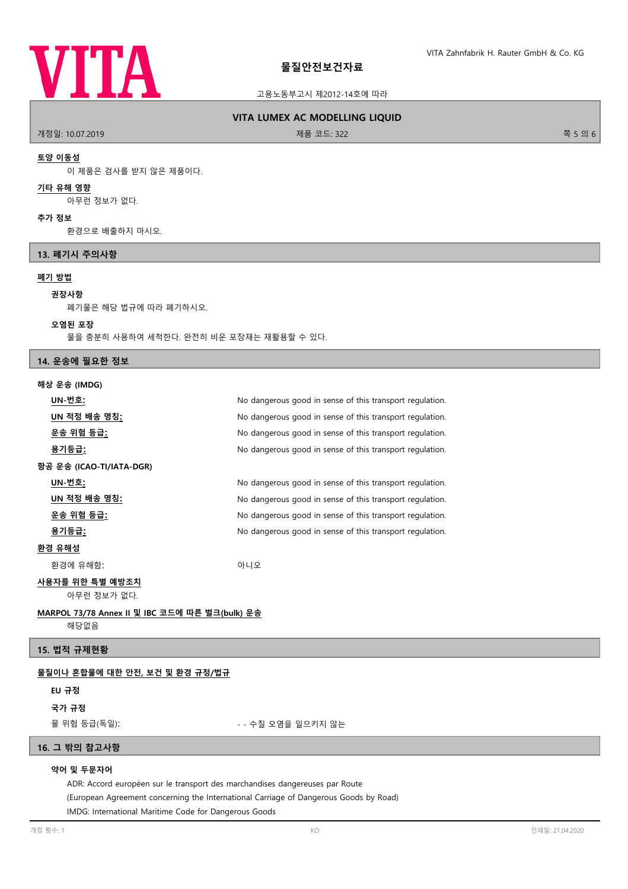

#### 고용노동부고시 제2012-14호에 따라

### **VITA LUMEX AC MODELLING LIQUID**

개정일: 10.07.2019 제품 코드: 322 쪽 5 의 6

# **토양 이동성**

이 제품은 검사를 받지 않은 제품이다.

# **기타 유해 영향**

아무런 정보가 없다.

#### **추가 정보**

환경으로 배출하지 마시오.

### **13. 폐기시 주의사항**

## **폐기 방법**

## **권장사항**

폐기물은 해당 법규에 따라 폐기하시오.

#### **오염된 포장**

물을 충분히 사용하여 세척한다. 완전히 비운 포장재는 재활용할 수 있다.

### **14. 운송에 필요한 정보**

#### **해상 운송 (IMDG)**

| UN-번호:                                         | No dangerous good in sense of this transport regulation. |  |
|------------------------------------------------|----------------------------------------------------------|--|
| UN 적정 배송 명칭:                                   | No dangerous good in sense of this transport regulation. |  |
| 운송 위험 등급 <u>:</u>                              | No dangerous good in sense of this transport regulation. |  |
| 용기등급:                                          | No dangerous good in sense of this transport regulation. |  |
| 항공 운송 (ICAO-TI/IATA-DGR)                       |                                                          |  |
| UN-번호:                                         | No dangerous good in sense of this transport regulation. |  |
| UN 적정 배송 명칭 <u>:</u>                           | No dangerous good in sense of this transport regulation. |  |
| 운송 위험 등급 <u>:</u>                              | No dangerous good in sense of this transport regulation. |  |
| 용기등급:                                          | No dangerous good in sense of this transport regulation. |  |
| 환경 유해성                                         |                                                          |  |
| 환경에 유해함:                                       | 아니오                                                      |  |
| 사용자를 위한 특별 예방조치                                |                                                          |  |
| 아무런 정보가 없다.                                    |                                                          |  |
| MARPOL 73/78 Annex II 및 IBC 코드에 따른 벌크(bulk) 운송 |                                                          |  |
| 해당없음                                           |                                                          |  |

# **15. 법적 규제현황**

#### **물질이나 혼합물에 대한 안전, 보건 및 환경 규정/법규**

## **EU 규정**

**국가 규정**

물 위험 등급(독일): - - 수질 오염을 일으키지 않는

# **16. 그 밖의 참고사항**

## **약어 및 두문자어**

ADR: Accord européen sur le transport des marchandises dangereuses par Route (European Agreement concerning the International Carriage of Dangerous Goods by Road) IMDG: International Maritime Code for Dangerous Goods